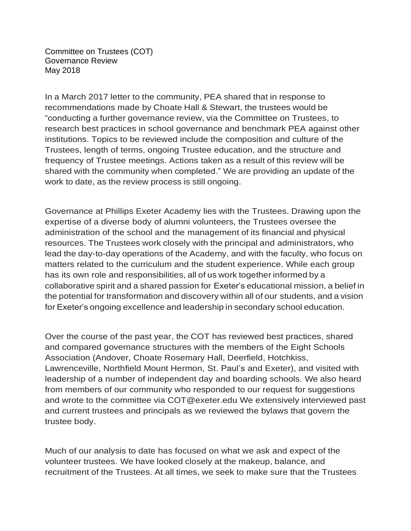Committee on Trustees (COT) Governance Review May 2018

In a March 2017 letter to the community, PEA shared that in response to recommendations made by Choate Hall & Stewart, the trustees would be "conducting a further governance review, via the Committee on Trustees, to research best practices in school governance and benchmark PEA against other institutions. Topics to be reviewed include the composition and culture of the Trustees, length of terms, ongoing Trustee education, and the structure and frequency of Trustee meetings. Actions taken as a result of this review will be shared with the community when completed." We are providing an update of the work to date, as the review process is still ongoing.

Governance at Phillips Exeter Academy lies with the Trustees. Drawing upon the expertise of a diverse body of alumni volunteers, the Trustees oversee the administration of the school and the management of its financial and physical resources. The Trustees work closely with the principal and administrators, who lead the day-to-day operations of the Academy, and with the faculty, who focus on matters related to the curriculum and the student experience. While each group has its own role and responsibilities, all of us work together informed by a collaborative spirit and a shared passion for Exeter's educational mission, a belief in the potential for transformation and discovery within all of our students, and a vision for Exeter's ongoing excellence and leadership in secondary school education.

Over the course of the past year, the COT has reviewed best practices, shared and compared governance structures with the members of the Eight Schools Association (Andover, Choate Rosemary Hall, Deerfield, Hotchkiss, Lawrenceville, Northfield Mount Hermon, St. Paul's and Exeter), and visited with leadership of a number of independent day and boarding schools. We also heard from members of our community who responded to our request for suggestions and wrote to the committee via [COT@exeter.edu](mailto:COT@exeter.edu) We extensively interviewed past and current trustees and principals as we reviewed the bylaws that govern the trustee body.

Much of our analysis to date has focused on what we ask and expect of the volunteer trustees. We have looked closely at the makeup, balance, and recruitment of the Trustees. At all times, we seek to make sure that the Trustees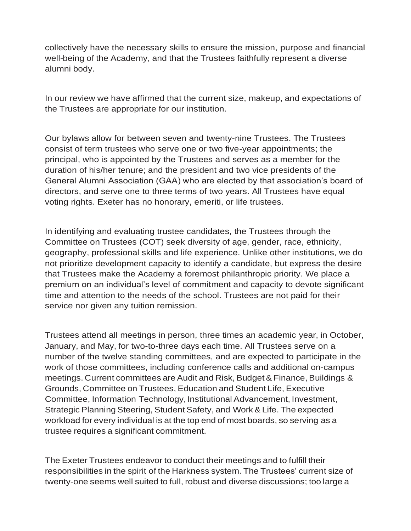collectively have the necessary skills to ensure the mission, purpose and financial well-being of the Academy, and that the Trustees faithfully represent a diverse alumni body.

In our review we have affirmed that the current size, makeup, and expectations of the Trustees are appropriate for our institution.

Our bylaws allow for between seven and twenty-nine Trustees. The Trustees consist of term trustees who serve one or two five-year appointments; the principal, who is appointed by the Trustees and serves as a member for the duration of his/her tenure; and the president and two vice presidents of the General Alumni Association (GAA) who are elected by that association's board of directors, and serve one to three terms of two years. All Trustees have equal voting rights. Exeter has no honorary, emeriti, or life trustees.

In identifying and evaluating trustee candidates, the Trustees through the Committee on Trustees (COT) seek diversity of age, gender, race, ethnicity, geography, professional skills and life experience. Unlike other institutions, we do not prioritize development capacity to identify a candidate, but express the desire that Trustees make the Academy a foremost philanthropic priority. We place a premium on an individual's level of commitment and capacity to devote significant time and attention to the needs of the school. Trustees are not paid for their service nor given any tuition remission.

Trustees attend all meetings in person, three times an academic year, in October, January, and May, for two-to-three days each time. All Trustees serve on a number of the twelve standing committees, and are expected to participate in the work of those committees, including conference calls and additional on-campus meetings. Current committees are Audit and Risk, Budget& Finance,Buildings & Grounds, Committee on Trustees, Education and Student Life, Executive Committee, Information Technology, Institutional Advancement, Investment, Strategic Planning Steering, Student Safety, and Work & Life. The expected workload for every individual is at the top end of most boards, so serving as a trustee requires a significant commitment.

The Exeter Trustees endeavor to conduct their meetings and to fulfill their responsibilities in the spirit of the Harkness system. The Trustees' current size of twenty-one seems well suited to full, robust and diverse discussions; too large a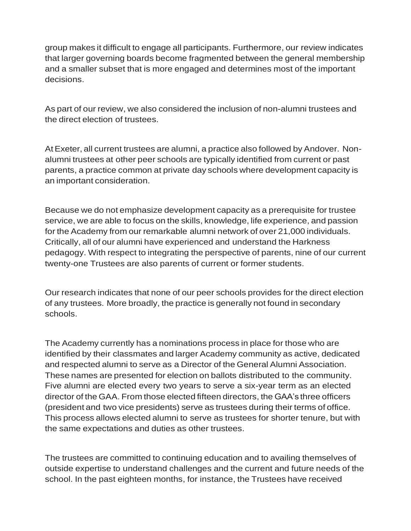group makes it difficult to engage all participants. Furthermore, our review indicates that larger governing boards become fragmented between the general membership and a smaller subset that is more engaged and determines most of the important decisions.

As part of our review, we also considered the inclusion of non-alumni trustees and the direct election of trustees.

AtExeter, all current trustees are alumni, a practice also followed by Andover. Nonalumni trustees at other peer schools are typically identified from current or past parents, a practice common at private day schools where development capacity is an important consideration.

Because we do not emphasize development capacity as a prerequisite for trustee service, we are able to focus on the skills, knowledge, life experience, and passion for the Academy from our remarkable alumni network of over 21,000 individuals. Critically, all of our alumni have experienced and understand the Harkness pedagogy. With respect to integrating the perspective of parents, nine of our current twenty-one Trustees are also parents of current or former students.

Our research indicates that none of our peer schools provides for the direct election of any trustees. More broadly, the practice is generally not found in secondary schools.

The Academy currently has a nominations process in place for those who are identified by their classmates and larger Academy community as active, dedicated and respected alumni to serve as a Director of the General Alumni Association. These names are presented for election on ballots distributed to the community. Five alumni are elected every two years to serve a six-year term as an elected director of the GAA. From those elected fifteen directors, the GAA's three officers (president and two vice presidents) serve as trustees during their terms of office. This process allows elected alumni to serve as trustees for shorter tenure, but with the same expectations and duties as other trustees.

The trustees are committed to continuing education and to availing themselves of outside expertise to understand challenges and the current and future needs of the school. In the past eighteen months, for instance, the Trustees have received